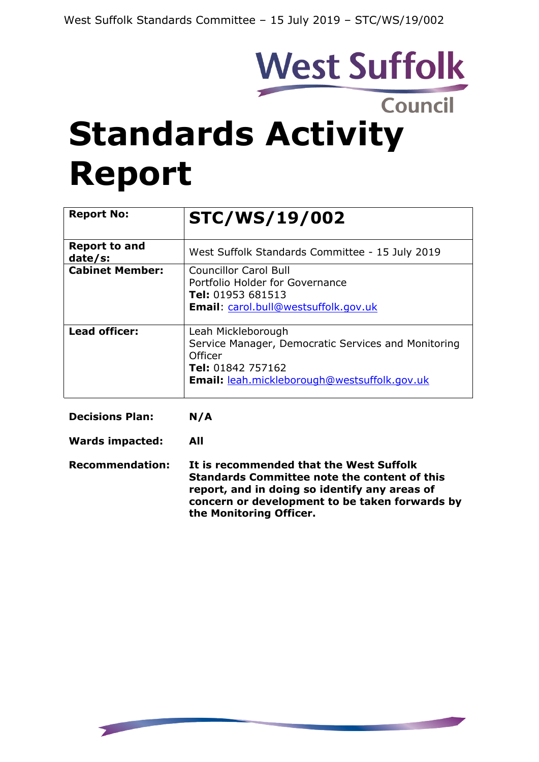# West Suffolk

# **Standards Activity Report**

| <b>Report No:</b>               | <b>STC/WS/19/002</b>                                                                                                                                                    |
|---------------------------------|-------------------------------------------------------------------------------------------------------------------------------------------------------------------------|
| <b>Report to and</b><br>date/s: | West Suffolk Standards Committee - 15 July 2019                                                                                                                         |
| <b>Cabinet Member:</b>          | <b>Councillor Carol Bull</b><br>Portfolio Holder for Governance<br>Tel: 01953 681513<br><b>Email:</b> carol.bull@westsuffolk.gov.uk                                     |
| Lead officer:                   | Leah Mickleborough<br>Service Manager, Democratic Services and Monitoring<br><b>Officer</b><br>Tel: 01842 757162<br><b>Email:</b> leah.mickleborough@westsuffolk.gov.uk |

**Decisions Plan: N/A**

**Wards impacted: All**

**Recommendation: It is recommended that the West Suffolk Standards Committee note the content of this report, and in doing so identify any areas of concern or development to be taken forwards by the Monitoring Officer.**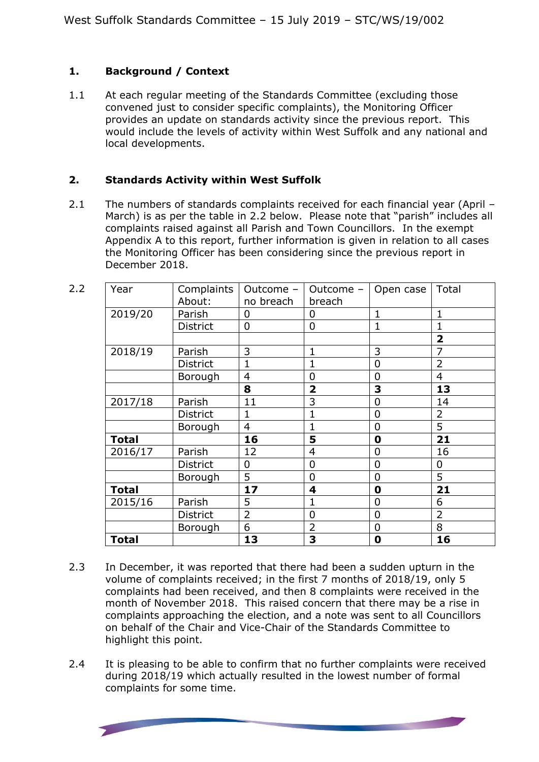# **1. Background / Context**

1.1 At each regular meeting of the Standards Committee (excluding those convened just to consider specific complaints), the Monitoring Officer provides an update on standards activity since the previous report. This would include the levels of activity within West Suffolk and any national and local developments.

# **2. Standards Activity within West Suffolk**

2.1 The numbers of standards complaints received for each financial year (April – March) is as per the table in 2.2 below. Please note that "parish" includes all complaints raised against all Parish and Town Councillors. In the exempt Appendix A to this report, further information is given in relation to all cases the Monitoring Officer has been considering since the previous report in December 2018.

| 2.2 | Year         | Complaints      | Outcome -      | Outcome -      | Open case      | Total          |
|-----|--------------|-----------------|----------------|----------------|----------------|----------------|
|     |              | About:          | no breach      | breach         |                |                |
|     | 2019/20      | Parish          | $\overline{0}$ | 0              | $\mathbf{1}$   | $\mathbf{1}$   |
|     |              | <b>District</b> | $\overline{0}$ | 0              | $\mathbf 1$    | $\mathbf{1}$   |
|     |              |                 |                |                |                | $\overline{2}$ |
|     | 2018/19      | Parish          | 3              | $\mathbf{1}$   | 3              | 7              |
|     |              | <b>District</b> | 1              | $\mathbf{1}$   | $\mathbf 0$    | $\overline{2}$ |
|     |              | Borough         | $\overline{4}$ | 0              | $\overline{0}$ | 4              |
|     |              |                 | 8              | $\overline{2}$ | 3              | 13             |
|     | 2017/18      | Parish          | 11             | 3              | 0              | 14             |
|     |              | <b>District</b> | 1              | $\mathbf{1}$   | $\mathbf 0$    | $\overline{2}$ |
|     |              | Borough         | $\overline{4}$ | $\mathbf{1}$   | $\overline{0}$ | 5              |
|     | <b>Total</b> |                 | 16             | 5              | $\mathbf 0$    | 21             |
|     | 2016/17      | Parish          | 12             | $\overline{4}$ | $\overline{0}$ | 16             |
|     |              | <b>District</b> | 0              | $\mathbf 0$    | $\mathbf 0$    | 0              |
|     |              | Borough         | 5              | $\overline{0}$ | $\overline{0}$ | 5              |
|     | <b>Total</b> |                 | 17             | 4              | $\mathbf 0$    | 21             |
|     | 2015/16      | Parish          | 5              | 1              | $\overline{0}$ | 6              |
|     |              | <b>District</b> | $\overline{2}$ | $\mathbf 0$    | $\mathbf 0$    | $\overline{2}$ |
|     |              | Borough         | 6              | $\overline{2}$ | $\overline{0}$ | 8              |
|     | <b>Total</b> |                 | 13             | 3              | $\mathbf 0$    | 16             |

- 2.3 In December, it was reported that there had been a sudden upturn in the volume of complaints received; in the first 7 months of 2018/19, only 5 complaints had been received, and then 8 complaints were received in the month of November 2018. This raised concern that there may be a rise in complaints approaching the election, and a note was sent to all Councillors on behalf of the Chair and Vice-Chair of the Standards Committee to highlight this point.
- 2.4 It is pleasing to be able to confirm that no further complaints were received during 2018/19 which actually resulted in the lowest number of formal complaints for some time.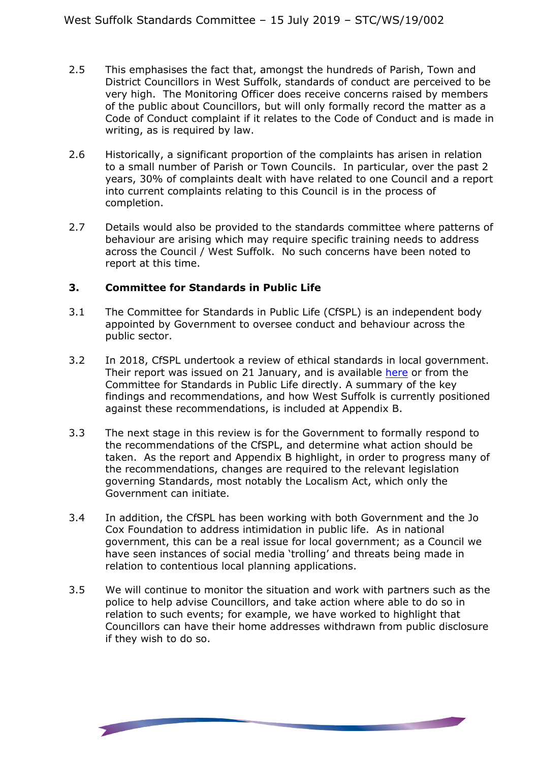- 2.5 This emphasises the fact that, amongst the hundreds of Parish, Town and District Councillors in West Suffolk, standards of conduct are perceived to be very high. The Monitoring Officer does receive concerns raised by members of the public about Councillors, but will only formally record the matter as a Code of Conduct complaint if it relates to the Code of Conduct and is made in writing, as is required by law.
- 2.6 Historically, a significant proportion of the complaints has arisen in relation to a small number of Parish or Town Councils. In particular, over the past 2 years, 30% of complaints dealt with have related to one Council and a report into current complaints relating to this Council is in the process of completion.
- 2.7 Details would also be provided to the standards committee where patterns of behaviour are arising which may require specific training needs to address across the Council / West Suffolk. No such concerns have been noted to report at this time.

### **3. Committee for Standards in Public Life**

- 3.1 The Committee for Standards in Public Life (CfSPL) is an independent body appointed by Government to oversee conduct and behaviour across the public sector.
- 3.2 In 2018, CfSPL undertook a review of ethical standards in local government. Their report was issued on 21 January, and is available [here](https://www.gov.uk/government/publications/local-government-ethical-standards-report) or from the Committee for Standards in Public Life directly. A summary of the key findings and recommendations, and how West Suffolk is currently positioned against these recommendations, is included at Appendix B.
- 3.3 The next stage in this review is for the Government to formally respond to the recommendations of the CfSPL, and determine what action should be taken. As the report and Appendix B highlight, in order to progress many of the recommendations, changes are required to the relevant legislation governing Standards, most notably the Localism Act, which only the Government can initiate.
- 3.4 In addition, the CfSPL has been working with both Government and the Jo Cox Foundation to address intimidation in public life. As in national government, this can be a real issue for local government; as a Council we have seen instances of social media 'trolling' and threats being made in relation to contentious local planning applications.
- 3.5 We will continue to monitor the situation and work with partners such as the police to help advise Councillors, and take action where able to do so in relation to such events; for example, we have worked to highlight that Councillors can have their home addresses withdrawn from public disclosure if they wish to do so.

**State Street, Square**